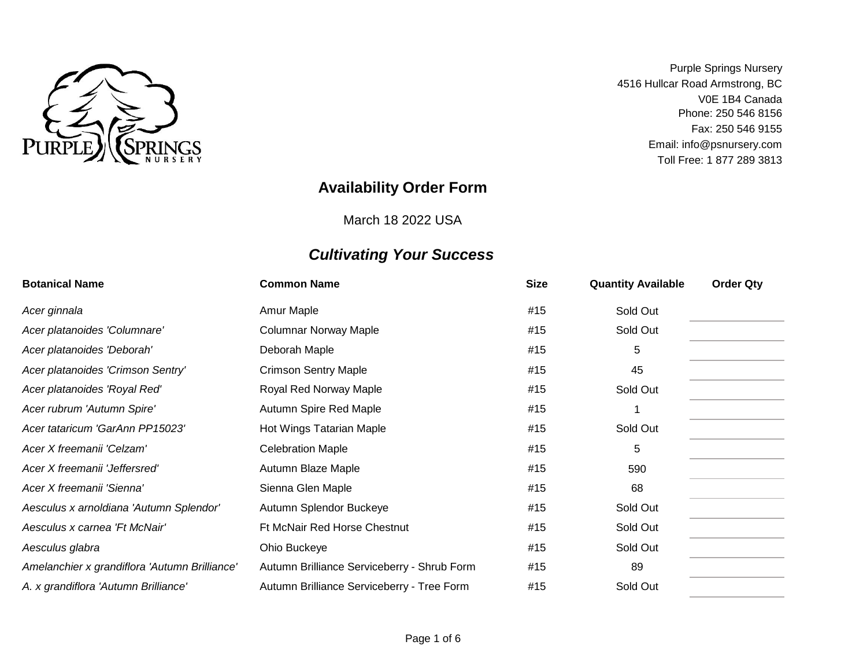

Toll Free: 1 877 289 3813 Purple Springs Nursery 4516 Hullcar Road Armstrong, BC Fax: 250 546 9155 V0E 1B4 Canada Phone: 250 546 8156 Email: info@psnursery.com

### **Availability Order Form**

March 18 2022 USA

| <b>Botanical Name</b>                         | <b>Common Name</b>                          | <b>Size</b> | <b>Quantity Available</b> | <b>Order Qty</b> |
|-----------------------------------------------|---------------------------------------------|-------------|---------------------------|------------------|
| Acer ginnala                                  | Amur Maple                                  | #15         | Sold Out                  |                  |
| Acer platanoides 'Columnare'                  | <b>Columnar Norway Maple</b>                | #15         | Sold Out                  |                  |
| Acer platanoides 'Deborah'                    | Deborah Maple                               | #15         | 5                         |                  |
| Acer platanoides 'Crimson Sentry'             | <b>Crimson Sentry Maple</b>                 | #15         | 45                        |                  |
| Acer platanoides 'Royal Red'                  | Royal Red Norway Maple                      | #15         | Sold Out                  |                  |
| Acer rubrum 'Autumn Spire'                    | Autumn Spire Red Maple                      | #15         |                           |                  |
| Acer tataricum 'GarAnn PP15023'               | Hot Wings Tatarian Maple                    | #15         | Sold Out                  |                  |
| Acer X freemanii 'Celzam'                     | <b>Celebration Maple</b>                    | #15         | 5                         |                  |
| Acer X freemanii 'Jeffersred'                 | Autumn Blaze Maple                          | #15         | 590                       |                  |
| Acer X freemanii 'Sienna'                     | Sienna Glen Maple                           | #15         | 68                        |                  |
| Aesculus x arnoldiana 'Autumn Splendor'       | Autumn Splendor Buckeye                     | #15         | Sold Out                  |                  |
| Aesculus x carnea 'Ft McNair'                 | <b>Ft McNair Red Horse Chestnut</b>         | #15         | Sold Out                  |                  |
| Aesculus glabra                               | Ohio Buckeye                                | #15         | Sold Out                  |                  |
| Amelanchier x grandiflora 'Autumn Brilliance' | Autumn Brilliance Serviceberry - Shrub Form | #15         | 89                        |                  |
| A. x grandiflora 'Autumn Brilliance'          | Autumn Brilliance Serviceberry - Tree Form  | #15         | Sold Out                  |                  |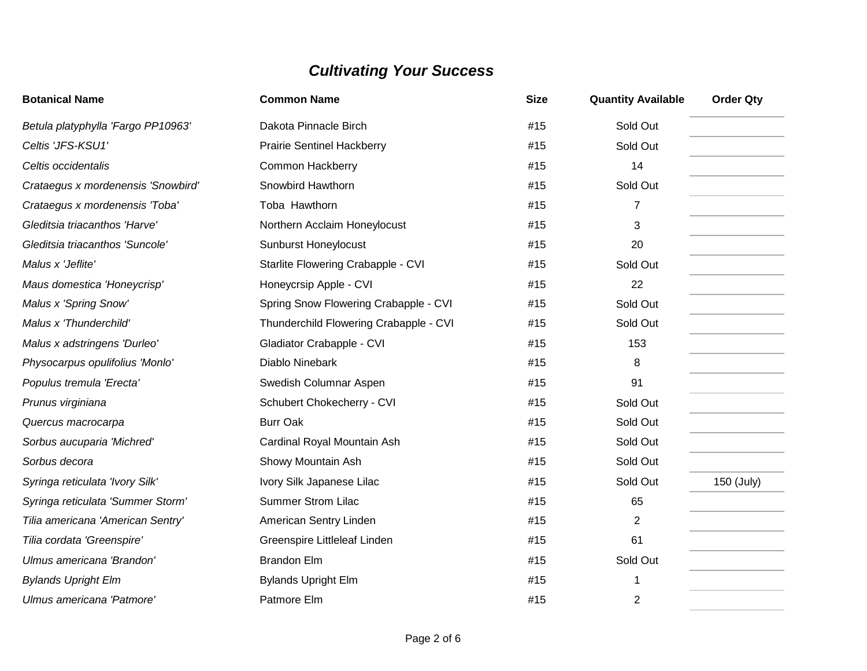| <b>Botanical Name</b>              | <b>Common Name</b>                     | <b>Size</b> | <b>Quantity Available</b> | <b>Order Qty</b> |
|------------------------------------|----------------------------------------|-------------|---------------------------|------------------|
| Betula platyphylla 'Fargo PP10963' | Dakota Pinnacle Birch                  | #15         | Sold Out                  |                  |
| Celtis 'JFS-KSU1'                  | <b>Prairie Sentinel Hackberry</b>      | #15         | Sold Out                  |                  |
| Celtis occidentalis                | <b>Common Hackberry</b>                | #15         | 14                        |                  |
| Crataegus x mordenensis 'Snowbird' | Snowbird Hawthorn                      | #15         | Sold Out                  |                  |
| Crataegus x mordenensis 'Toba'     | Toba Hawthorn                          | #15         | $\overline{7}$            |                  |
| Gleditsia triacanthos 'Harve'      | Northern Acclaim Honeylocust           | #15         | 3                         |                  |
| Gleditsia triacanthos 'Suncole'    | <b>Sunburst Honeylocust</b>            | #15         | 20                        |                  |
| Malus x 'Jeflite'                  | Starlite Flowering Crabapple - CVI     | #15         | Sold Out                  |                  |
| Maus domestica 'Honeycrisp'        | Honeycrsip Apple - CVI                 | #15         | 22                        |                  |
| Malus x 'Spring Snow'              | Spring Snow Flowering Crabapple - CVI  | #15         | Sold Out                  |                  |
| Malus x 'Thunderchild'             | Thunderchild Flowering Crabapple - CVI | #15         | Sold Out                  |                  |
| Malus x adstringens 'Durleo'       | Gladiator Crabapple - CVI              | #15         | 153                       |                  |
| Physocarpus opulifolius 'Monlo'    | Diablo Ninebark                        | #15         | 8                         |                  |
| Populus tremula 'Erecta'           | Swedish Columnar Aspen                 | #15         | 91                        |                  |
| Prunus virginiana                  | Schubert Chokecherry - CVI             | #15         | Sold Out                  |                  |
| Quercus macrocarpa                 | <b>Burr Oak</b>                        | #15         | Sold Out                  |                  |
| Sorbus aucuparia 'Michred'         | Cardinal Royal Mountain Ash            | #15         | Sold Out                  |                  |
| Sorbus decora                      | Showy Mountain Ash                     | #15         | Sold Out                  |                  |
| Syringa reticulata 'Ivory Silk'    | Ivory Silk Japanese Lilac              | #15         | Sold Out                  | 150 (July)       |
| Syringa reticulata 'Summer Storm'  | <b>Summer Strom Lilac</b>              | #15         | 65                        |                  |
| Tilia americana 'American Sentry'  | American Sentry Linden                 | #15         | $\overline{2}$            |                  |
| Tilia cordata 'Greenspire'         | Greenspire Littleleaf Linden           | #15         | 61                        |                  |
| Ulmus americana 'Brandon'          | <b>Brandon Elm</b>                     | #15         | Sold Out                  |                  |
| <b>Bylands Upright Elm</b>         | <b>Bylands Upright Elm</b>             | #15         | 1                         |                  |
| Ulmus americana 'Patmore'          | Patmore Elm                            | #15         | $\overline{2}$            |                  |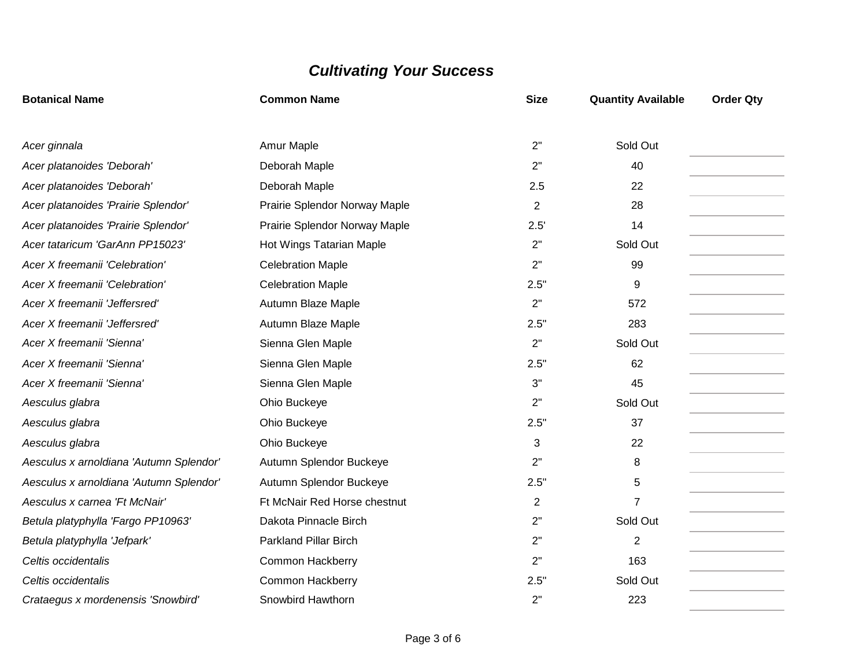| <b>Botanical Name</b>                   | <b>Common Name</b>            | <b>Size</b>    | <b>Quantity Available</b> | <b>Order Qty</b> |
|-----------------------------------------|-------------------------------|----------------|---------------------------|------------------|
|                                         |                               | 2"             | Sold Out                  |                  |
| Acer ginnala                            | Amur Maple                    |                |                           |                  |
| Acer platanoides 'Deborah'              | Deborah Maple                 | 2"             | 40                        |                  |
| Acer platanoides 'Deborah'              | Deborah Maple                 | 2.5            | 22                        |                  |
| Acer platanoides 'Prairie Splendor'     | Prairie Splendor Norway Maple | 2              | 28                        |                  |
| Acer platanoides 'Prairie Splendor'     | Prairie Splendor Norway Maple | 2.5'           | 14                        |                  |
| Acer tataricum 'GarAnn PP15023'         | Hot Wings Tatarian Maple      | 2"             | Sold Out                  |                  |
| Acer X freemanii 'Celebration'          | <b>Celebration Maple</b>      | 2"             | 99                        |                  |
| Acer X freemanii 'Celebration'          | <b>Celebration Maple</b>      | 2.5"           | 9                         |                  |
| Acer X freemanii 'Jeffersred'           | Autumn Blaze Maple            | 2"             | 572                       |                  |
| Acer X freemanii 'Jeffersred'           | Autumn Blaze Maple            | 2.5"           | 283                       |                  |
| Acer X freemanii 'Sienna'               | Sienna Glen Maple             | 2"             | Sold Out                  |                  |
| Acer X freemanii 'Sienna'               | Sienna Glen Maple             | 2.5"           | 62                        |                  |
| Acer X freemanii 'Sienna'               | Sienna Glen Maple             | 3"             | 45                        |                  |
| Aesculus glabra                         | Ohio Buckeye                  | 2"             | Sold Out                  |                  |
| Aesculus glabra                         | Ohio Buckeye                  | 2.5"           | 37                        |                  |
| Aesculus glabra                         | Ohio Buckeye                  | 3              | 22                        |                  |
| Aesculus x arnoldiana 'Autumn Splendor' | Autumn Splendor Buckeye       | 2"             | 8                         |                  |
| Aesculus x arnoldiana 'Autumn Splendor' | Autumn Splendor Buckeye       | 2.5"           | 5                         |                  |
| Aesculus x carnea 'Ft McNair'           | Ft McNair Red Horse chestnut  | $\overline{2}$ | $\overline{7}$            |                  |
| Betula platyphylla 'Fargo PP10963'      | Dakota Pinnacle Birch         | 2"             | Sold Out                  |                  |
| Betula platyphylla 'Jefpark'            | <b>Parkland Pillar Birch</b>  | 2"             | $\overline{2}$            |                  |
| Celtis occidentalis                     | <b>Common Hackberry</b>       | 2"             | 163                       |                  |
| Celtis occidentalis                     | <b>Common Hackberry</b>       | 2.5"           | Sold Out                  |                  |
| Crataegus x mordenensis 'Snowbird'      | Snowbird Hawthorn             | 2"             | 223                       |                  |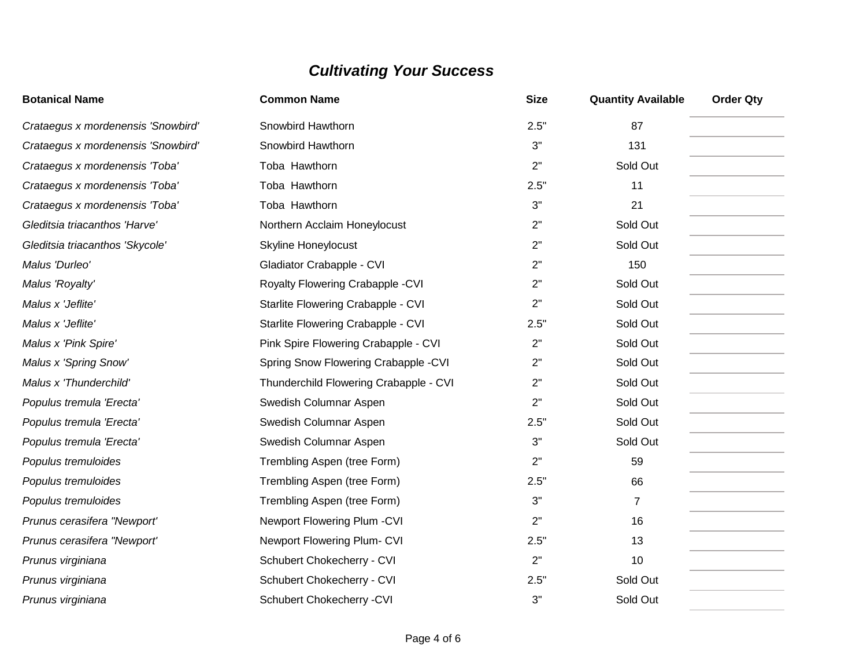| <b>Botanical Name</b>              | <b>Common Name</b>                     | <b>Size</b> | <b>Quantity Available</b> | <b>Order Qty</b> |
|------------------------------------|----------------------------------------|-------------|---------------------------|------------------|
| Crataegus x mordenensis 'Snowbird' | Snowbird Hawthorn                      | 2.5"        | 87                        |                  |
| Crataegus x mordenensis 'Snowbird' | Snowbird Hawthorn                      | 3"          | 131                       |                  |
| Crataegus x mordenensis 'Toba'     | Toba Hawthorn                          | 2"          | Sold Out                  |                  |
| Crataegus x mordenensis 'Toba'     | Toba Hawthorn                          | 2.5"        | 11                        |                  |
| Crataegus x mordenensis 'Toba'     | Toba Hawthorn                          | 3"          | 21                        |                  |
| Gleditsia triacanthos 'Harve'      | Northern Acclaim Honeylocust           | 2"          | Sold Out                  |                  |
| Gleditsia triacanthos 'Skycole'    | <b>Skyline Honeylocust</b>             | 2"          | Sold Out                  |                  |
| Malus 'Durleo'                     | Gladiator Crabapple - CVI              | 2"          | 150                       |                  |
| Malus 'Royalty'                    | Royalty Flowering Crabapple - CVI      | 2"          | Sold Out                  |                  |
| Malus x 'Jeflite'                  | Starlite Flowering Crabapple - CVI     | 2"          | Sold Out                  |                  |
| Malus x 'Jeflite'                  | Starlite Flowering Crabapple - CVI     | 2.5"        | Sold Out                  |                  |
| Malus x 'Pink Spire'               | Pink Spire Flowering Crabapple - CVI   | 2"          | Sold Out                  |                  |
| Malus x 'Spring Snow'              | Spring Snow Flowering Crabapple -CVI   | 2"          | Sold Out                  |                  |
| Malus x 'Thunderchild'             | Thunderchild Flowering Crabapple - CVI | 2"          | Sold Out                  |                  |
| Populus tremula 'Erecta'           | Swedish Columnar Aspen                 | 2"          | Sold Out                  |                  |
| Populus tremula 'Erecta'           | Swedish Columnar Aspen                 | 2.5"        | Sold Out                  |                  |
| Populus tremula 'Erecta'           | Swedish Columnar Aspen                 | 3"          | Sold Out                  |                  |
| Populus tremuloides                | Trembling Aspen (tree Form)            | 2"          | 59                        |                  |
| Populus tremuloides                | Trembling Aspen (tree Form)            | 2.5"        | 66                        |                  |
| Populus tremuloides                | Trembling Aspen (tree Form)            | 3"          | $\overline{7}$            |                  |
| Prunus cerasifera "Newport"        | Newport Flowering Plum - CVI           | 2"          | 16                        |                  |
| Prunus cerasifera "Newport"        | Newport Flowering Plum- CVI            | 2.5"        | 13                        |                  |
| Prunus virginiana                  | Schubert Chokecherry - CVI             | 2"          | 10                        |                  |
| Prunus virginiana                  | Schubert Chokecherry - CVI             | 2.5"        | Sold Out                  |                  |
| Prunus virginiana                  | Schubert Chokecherry - CVI             | 3"          | Sold Out                  |                  |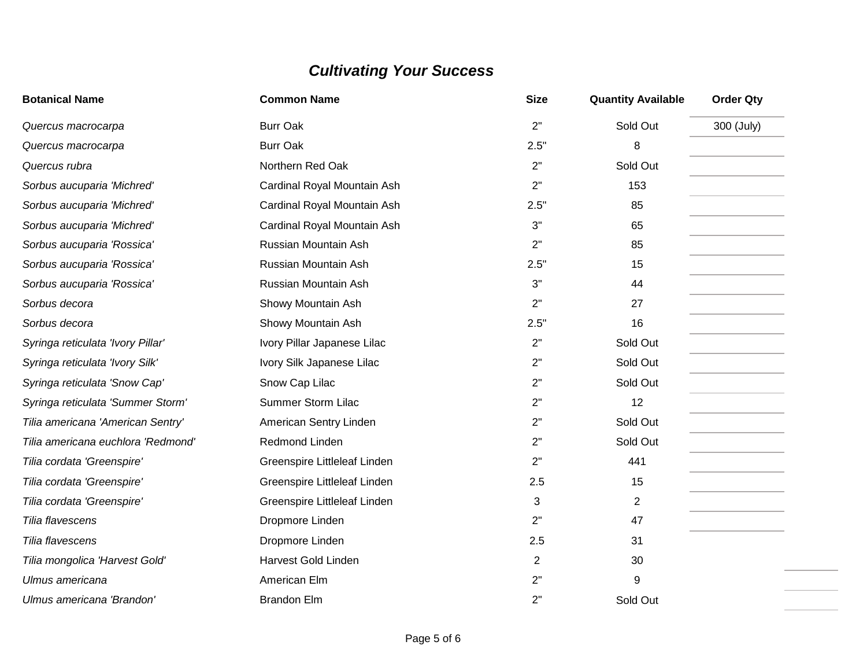| <b>Botanical Name</b>              | <b>Common Name</b>           | <b>Size</b>    | <b>Quantity Available</b> | <b>Order Qty</b> |
|------------------------------------|------------------------------|----------------|---------------------------|------------------|
| Quercus macrocarpa                 | <b>Burr Oak</b>              | 2"             | Sold Out                  | 300 (July)       |
| Quercus macrocarpa                 | <b>Burr Oak</b>              | 2.5"           | 8                         |                  |
| Quercus rubra                      | Northern Red Oak             | 2"             | Sold Out                  |                  |
| Sorbus aucuparia 'Michred'         | Cardinal Royal Mountain Ash  | 2"             | 153                       |                  |
| Sorbus aucuparia 'Michred'         | Cardinal Royal Mountain Ash  | 2.5"           | 85                        |                  |
| Sorbus aucuparia 'Michred'         | Cardinal Royal Mountain Ash  | 3"             | 65                        |                  |
| Sorbus aucuparia 'Rossica'         | Russian Mountain Ash         | 2"             | 85                        |                  |
| Sorbus aucuparia 'Rossica'         | Russian Mountain Ash         | 2.5"           | 15                        |                  |
| Sorbus aucuparia 'Rossica'         | Russian Mountain Ash         | 3"             | 44                        |                  |
| Sorbus decora                      | Showy Mountain Ash           | 2"             | 27                        |                  |
| Sorbus decora                      | Showy Mountain Ash           | 2.5"           | 16                        |                  |
| Syringa reticulata 'Ivory Pillar'  | Ivory Pillar Japanese Lilac  | 2"             | Sold Out                  |                  |
| Syringa reticulata 'Ivory Silk'    | Ivory Silk Japanese Lilac    | 2"             | Sold Out                  |                  |
| Syringa reticulata 'Snow Cap'      | Snow Cap Lilac               | 2"             | Sold Out                  |                  |
| Syringa reticulata 'Summer Storm'  | <b>Summer Storm Lilac</b>    | 2"             | 12                        |                  |
| Tilia americana 'American Sentry'  | American Sentry Linden       | 2"             | Sold Out                  |                  |
| Tilia americana euchlora 'Redmond' | Redmond Linden               | 2"             | Sold Out                  |                  |
| Tilia cordata 'Greenspire'         | Greenspire Littleleaf Linden | 2"             | 441                       |                  |
| Tilia cordata 'Greenspire'         | Greenspire Littleleaf Linden | 2.5            | 15                        |                  |
| Tilia cordata 'Greenspire'         | Greenspire Littleleaf Linden | 3              | 2                         |                  |
| Tilia flavescens                   | Dropmore Linden              | 2"             | 47                        |                  |
| Tilia flavescens                   | Dropmore Linden              | 2.5            | 31                        |                  |
| Tilia mongolica 'Harvest Gold'     | <b>Harvest Gold Linden</b>   | $\overline{2}$ | 30                        |                  |
| Ulmus americana                    | American Elm                 | 2"             | 9                         |                  |
| Ulmus americana 'Brandon'          | <b>Brandon Elm</b>           | 2"             | Sold Out                  |                  |